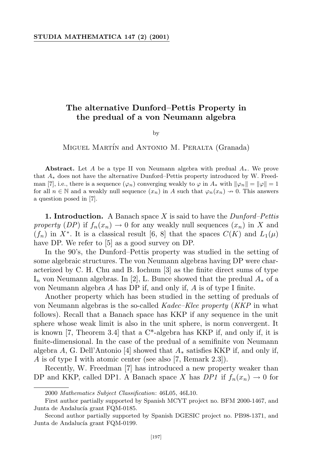## **The alternative Dunford–Pettis Property in the predual of a von Neumann algebra**

## by

MIGUEL MARTÍN and ANTONIO M. PERALTA (Granada)

**Abstract.** Let *A* be a type II von Neumann algebra with predual *A∗*. We prove that *A<sup>∗</sup>* does not have the alternative Dunford–Pettis property introduced by W. Freedman [7], i.e., there is a sequence  $(\varphi_n)$  converging weakly to  $\varphi$  in  $A_*$  with  $\|\varphi_n\| = \|\varphi\| = 1$ for all  $n \in \mathbb{N}$  and a weakly null sequence  $(x_n)$  in *A* such that  $\varphi_n(x_n) \to 0$ . This answers a question posed in [7].

**1. Introduction.** A Banach space *X* is said to have the *Dunford–Pettis property* (*DP*) if  $f_n(x_n) \to 0$  for any weakly null sequences  $(x_n)$  in X and  $(f_n)$  in  $X^*$ . It is a classical result [6, 8] that the spaces  $C(K)$  and  $L_1(\mu)$ have DP. We refer to [5] as a good survey on DP.

In the 90's, the Dunford–Pettis property was studied in the setting of some algebraic structures. The von Neumann algebras having DP were characterized by C. H. Chu and B. Iochum [3] as the finite direct sums of type I*<sup>n</sup>* von Neumann algebras. In [2], L. Bunce showed that the predual *A<sup>∗</sup>* of a von Neumann algebra *A* has DP if, and only if, *A* is of type I finite.

Another property which has been studied in the setting of preduals of von Neumann algebras is the so-called *Kadec–Klee property* (*KKP* in what follows). Recall that a Banach space has KKP if any sequence in the unit sphere whose weak limit is also in the unit sphere, is norm convergent. It is known [7, Theorem 3.4] that a C\*-algebra has KKP if, and only if, it is finite-dimensional. In the case of the predual of a semifinite von Neumann algebra *A*, G. Dell'Antonio [4] showed that *A<sup>∗</sup>* satisfies KKP if, and only if, *A* is of type I with atomic center (see also [7, Remark 2.3]).

Recently, W. Freedman [7] has introduced a new property weaker than DP and KKP, called DP1. A Banach space *X* has *DP1* if  $f_n(x_n) \to 0$  for

<sup>2000</sup> *Mathematics Subject Classification*: 46L05, 46L10.

First author partially supported by Spanish MCYT project no. BFM 2000-1467, and Junta de Andalucía grant FQM-0185.

Second author partially supported by Spanish DGESIC project no. PB98-1371, and Junta de Andalucía grant FQM-0199.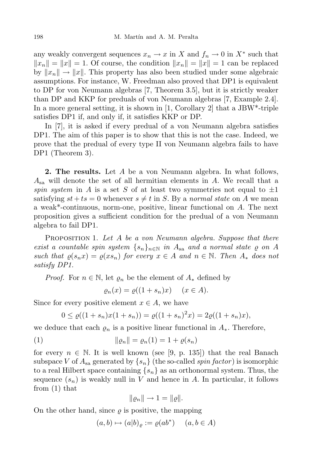any weakly convergent sequences  $x_n \to x$  in  $X$  and  $f_n \to 0$  in  $X^*$  such that  $||x_n|| = ||x|| = 1$ . Of course, the condition  $||x_n|| = ||x|| = 1$  can be replaced by  $||x_n|| \to ||x||$ . This property has also been studied under some algebraic assumptions. For instance, W. Freedman also proved that DP1 is equivalent to DP for von Neumann algebras [7, Theorem 3.5], but it is strictly weaker than DP and KKP for preduals of von Neumann algebras [7, Example 2.4]. In a more general setting, it is shown in [1, Corollary 2] that a JBW\*-triple satisfies DP1 if, and only if, it satisfies KKP or DP.

In [7], it is asked if every predual of a von Neumann algebra satisfies DP1. The aim of this paper is to show that this is not the case. Indeed, we prove that the predual of every type II von Neumann algebra fails to have DP1 (Theorem 3).

**2. The results.** Let *A* be a von Neumann algebra. In what follows, *A*sa will denote the set of all hermitian elements in *A*. We recall that a *spin system* in *A* is a set *S* of at least two symmetries not equal to  $\pm 1$ satisfying  $st + ts = 0$  whenever  $s \neq t$  in *S*. By a *normal state* on *A* we mean a weak\*-continuous, norm-one, positive, linear functional on *A*. The next proposition gives a sufficient condition for the predual of a von Neumann algebra to fail DP1.

Proposition 1. *Let A be a von Neumann algebra. Suppose that there exist a countable spin system*  $\{s_n\}_{n\in\mathbb{N}}$  *in*  $A_{sa}$  *and a normal state*  $\varrho$  *on*  $A$ such that  $\rho(s_n x) = \rho(xs_n)$  for every  $x \in A$  and  $n \in \mathbb{N}$ . Then  $A_*$  does not *satisfy DP1.*

*Proof.* For  $n \in \mathbb{N}$ , let  $\varrho_n$  be the element of  $A_*$  defined by

 $\varrho_n(x) = \varrho((1 + s_n)x)$  (*x*  $\in$  *A*).

Since for every positive element  $x \in A$ , we have

$$
0 \le \varrho((1+s_n)x(1+s_n)) = \varrho((1+s_n)^2x) = 2\varrho((1+s_n)x),
$$

we deduce that each  $\varrho_n$  is a positive linear functional in  $A_*$ . Therefore,

(1) 
$$
\|\varrho_n\| = \varrho_n(1) = 1 + \varrho(s_n)
$$

for every  $n \in \mathbb{N}$ . It is well known (see [9, p. 135]) that the real Banach subspace *V* of  $A_{sa}$  generated by  $\{s_n\}$  (the so-called *spin factor*) is isomorphic to a real Hilbert space containing *{sn}* as an orthonormal system. Thus, the sequence  $(s_n)$  is weakly null in *V* and hence in *A*. In particular, it follows from (1) that

$$
\|\varrho_n\| \to 1 = \|\varrho\|.
$$

On the other hand, since  $\rho$  is positive, the mapping

$$
(a,b)\mapsto (a|b)_{\varrho} := \varrho(ab^*) \quad (a,b\in A)
$$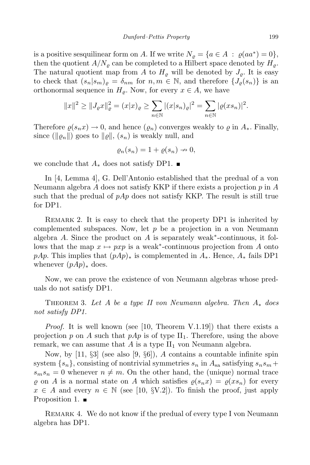is a positive sesquilinear form on *A*. If we write  $N_g = \{a \in A : \varrho(aa^*) = 0\},\$ then the quotient  $A/N<sub>\rho</sub>$  can be completed to a Hilbert space denoted by  $H<sub>\rho</sub>$ . The natural quotient map from *A* to  $H_{\varrho}$  will be denoted by  $J_{\varrho}$ . It is easy to check that  $(s_n|s_m)_{\rho} = \delta_{nm}$  for  $n, m \in \mathbb{N}$ , and therefore  $\{J_{\rho}(s_n)\}$  is an orthonormal sequence in  $H_{\varrho}$ . Now, for every  $x \in A$ , we have

$$
||x||^2 \ge ||J_{\varrho}x||_{\varrho}^2 = (x|x)_{\varrho} \ge \sum_{n \in \mathbb{N}} |(x|s_n)_{\varrho}|^2 = \sum_{n \in \mathbb{N}} |\varrho(xs_n)|^2.
$$

Therefore  $\rho(s_n x) \to 0$ , and hence  $(\rho_n)$  converges weakly to  $\rho$  in  $A_*$ . Finally, since  $(\Vert \varrho_n \Vert)$  goes to  $\Vert \varrho \Vert$ ,  $(s_n)$  is weakly null, and

$$
\varrho_n(s_n) = 1 + \varrho(s_n) \to 0,
$$

we conclude that  $A_*$  does not satisfy DP1. ■

In [4, Lemma 4], G. Dell'Antonio established that the predual of a von Neumann algebra *A* does not satisfy KKP if there exists a projection *p* in *A* such that the predual of  $pAp$  does not satisfy KKP. The result is still true for DP1.

Remark 2. It is easy to check that the property DP1 is inherited by complemented subspaces. Now, let  $p$  be a projection in a von Neumann algebra *A*. Since the product on *A* is separately weak*<sup>∗</sup>* -continuous, it follows that the map  $x \mapsto pxp$  is a weak<sup>\*</sup>-continuous projection from *A* onto *pAp*. This implies that (*pAp*)*<sup>∗</sup>* is complemented in *A∗*. Hence, *A<sup>∗</sup>* fails DP1 whenever (*pAp*)*<sup>∗</sup>* does.

Now, we can prove the existence of von Neumann algebras whose preduals do not satisfy DP1.

THEOREM 3. Let A be a type II von Neumann algebra. Then  $A_*$  does *not satisfy DP1.*

*Proof.* It is well known (see [10, Theorem V.1.19]) that there exists a projection p on A such that  $pAp$  is of type  $II_1$ . Therefore, using the above remark, we can assume that  $A$  is a type  $II_1$  von Neumann algebra.

Now, by [11, *§*3] (see also [9, *§*6]), *A* contains a countable infinite spin system  $\{s_n\}$ , consisting of nontrivial symmetries  $s_n$  in  $A_{sa}$  satisfying  $s_ns_m$  +  $s_m s_n = 0$  whenever  $n \neq m$ . On the other hand, the (unique) normal trace  $\varrho$  on *A* is a normal state on *A* which satisfies  $\varrho(s_n x) = \varrho(xs_n)$  for every  $x \in A$  and every  $n \in \mathbb{N}$  (see [10, *§V.2*]). To finish the proof, just apply Proposition 1.  $\blacksquare$ 

REMARK 4. We do not know if the predual of every type I von Neumann algebra has DP1.